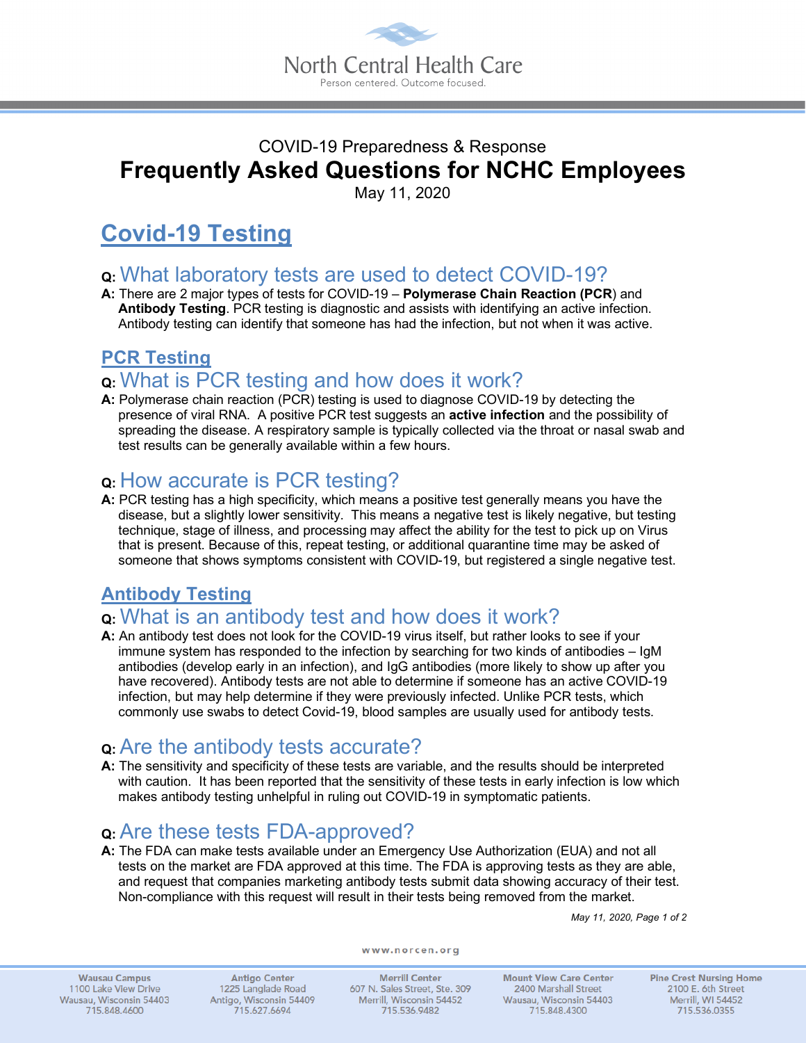

# COVID-19 Preparedness & Response **Frequently Asked Questions for NCHC Employees**

May 11, 2020

# **Covid-19 Testing**

- **Q:** What laboratory tests are used to detect COVID-19?
- **A:** There are 2 major types of tests for COVID-19 **Polymerase Chain Reaction (PCR**) and **Antibody Testing**. PCR testing is diagnostic and assists with identifying an active infection. Antibody testing can identify that someone has had the infection, but not when it was active.

#### **PCR Testing**

# **Q:** What is PCR testing and how does it work?

**A:** Polymerase chain reaction (PCR) testing is used to diagnose COVID-19 by detecting the presence of viral RNA. A positive PCR test suggests an **active infection** and the possibility of spreading the disease. A respiratory sample is typically collected via the throat or nasal swab and test results can be generally available within a few hours.

### **Q:** How accurate is PCR testing?

**A:** PCR testing has a high specificity, which means a positive test generally means you have the disease, but a slightly lower sensitivity. This means a negative test is likely negative, but testing technique, stage of illness, and processing may affect the ability for the test to pick up on Virus that is present. Because of this, repeat testing, or additional quarantine time may be asked of someone that shows symptoms consistent with COVID-19, but registered a single negative test.

### **Antibody Testing**

# **Q:** What is an antibody test and how does it work?

**A:** An antibody test does not look for the COVID-19 virus itself, but rather looks to see if your immune system has responded to the infection by searching for two kinds of antibodies – IgM antibodies (develop early in an infection), and IgG antibodies (more likely to show up after you have recovered). Antibody tests are not able to determine if someone has an active COVID-19 infection, but may help determine if they were previously infected. Unlike PCR tests, which commonly use swabs to detect Covid-19, blood samples are usually used for antibody tests.

# **Q:**Are the antibody tests accurate?

**A:** The sensitivity and specificity of these tests are variable, and the results should be interpreted with caution. It has been reported that the sensitivity of these tests in early infection is low which makes antibody testing unhelpful in ruling out COVID-19 in symptomatic patients.

# **Q:**Are these tests FDA-approved?

**A:** The FDA can make tests available under an Emergency Use Authorization (EUA) and not all tests on the market are FDA approved at this time. The FDA is approving tests as they are able, and request that companies marketing antibody tests submit data showing accuracy of their test. Non-compliance with this request will result in their tests being removed from the market.

*May 11, 2020, Page 1 of 2*

**Wausau Campus** 1100 Lake View Drive Wausau, Wisconsin 54403 715.848.4600

**Antigo Center** 1225 Langlade Road Antigo, Wisconsin 54409 715.627.6694

www.norcen.org

**Merrill Center** 607 N. Sales Street, Ste. 309 Merrill, Wisconsin 54452 715.536.9482

**Mount View Care Center** 2400 Marshall Street Wausau, Wisconsin 54403 715.848.4300

**Pine Crest Nursing Home** 2100 E. 6th Street Merrill, WI 54452 715.536.0355